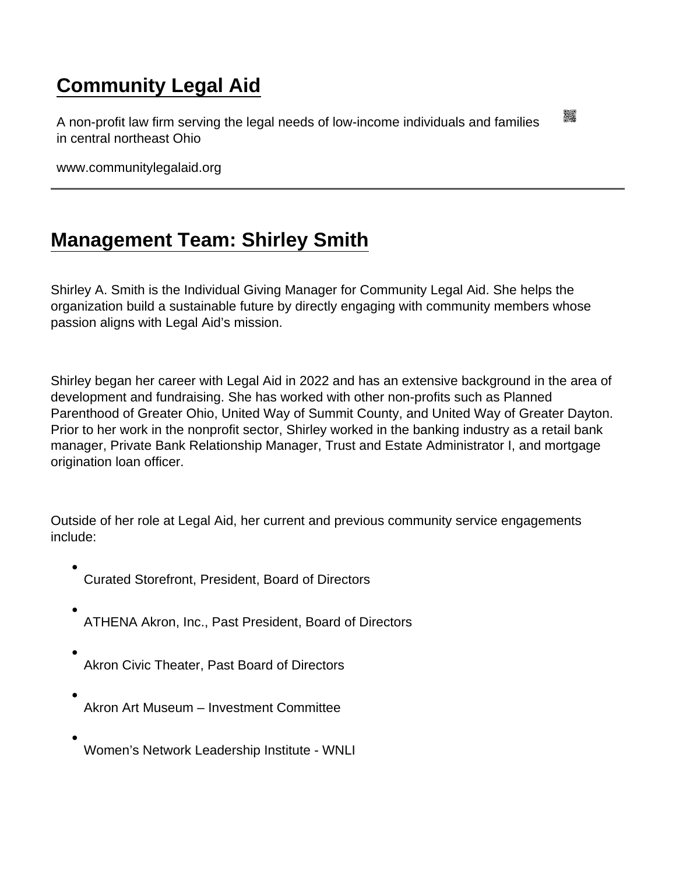## [Community Legal Aid](https://www.communitylegalaid.org/)

A non-profit law firm serving the legal needs of low-income individuals and families in central northeast Ohio

www.communitylegalaid.org

## [Management Team: Shirley Smith](https://www.communitylegalaid.org/leadership/smith)

Shirley A. Smith is the Individual Giving Manager for Community Legal Aid. She helps the organization build a sustainable future by directly engaging with community members whose passion aligns with Legal Aid's mission.

Shirley began her career with Legal Aid in 2022 and has an extensive background in the area of development and fundraising. She has worked with other non-profits such as Planned Parenthood of Greater Ohio, United Way of Summit County, and United Way of Greater Dayton. Prior to her work in the nonprofit sector, Shirley worked in the banking industry as a retail bank manager, Private Bank Relationship Manager, Trust and Estate Administrator I, and mortgage origination loan officer.

Outside of her role at Legal Aid, her current and previous community service engagements include:

- Curated Storefront, President, Board of Directors
- ATHENA Akron, Inc., Past President, Board of Directors
- Akron Civic Theater, Past Board of Directors
- Akron Art Museum Investment Committee
- Women's Network Leadership Institute WNLI